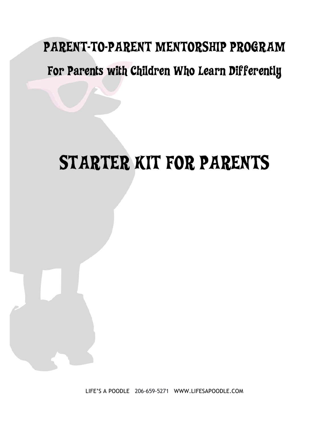# PARENT-TO-PARENT MENTORSHIP PROGRAM

# For Parents with Children Who Learn Differently

# STARTER KIT FOR PARENTS

LIFE'S A POODLE 206-659-5271 WWW.LIFESAPOODLE.COM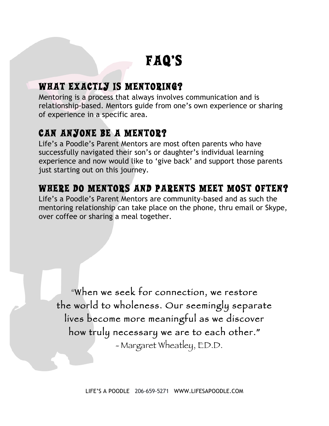# FAQ'S

### WHAT EXACTLY IS MENTORING?

Mentoring is a process that always involves communication and is relationship-based. Mentors guide from one's own experience or sharing of experience in a specific area.

## CAN ANYONE BE A MENTOR?

Life's a Poodle's Parent Mentors are most often parents who have successfully navigated their son's or daughter's individual learning experience and now would like to 'give back' and support those parents just starting out on this journey.

### WHERE DO MENTORS AND PARENTS MEET MOST OFTEN?

Life's a Poodle's Parent Mentors are community-based and as such the mentoring relationship can take place on the phone, thru email or Skype, over coffee or sharing a meal together.

"When we seek for connection, we restore the world to wholeness. Our seemingly separate lives become more meaningful as we discover how truly necessary we are to each other.**"** - Margaret Wheatley, ED.D.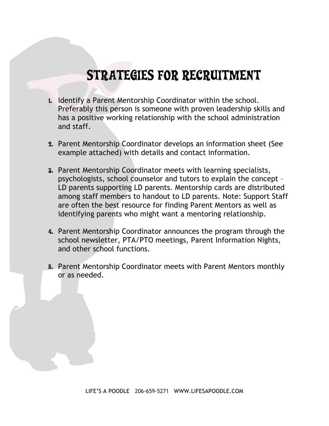# STRATEGIES FOR RECRUITMENT

- 1. Identify a Parent Mentorship Coordinator within the school. Preferably this person is someone with proven leadership skills and has a positive working relationship with the school administration and staff.
- 2. Parent Mentorship Coordinator develops an information sheet (See example attached) with details and contact information.
- 3. Parent Mentorship Coordinator meets with learning specialists, psychologists, school counselor and tutors to explain the concept – LD parents supporting LD parents. Mentorship cards are distributed among staff members to handout to LD parents. Note: Support Staff are often the best resource for finding Parent Mentors as well as identifying parents who might want a mentoring relationship.
- 4. Parent Mentorship Coordinator announces the program through the school newsletter, PTA/PTO meetings, Parent Information Nights, and other school functions.
- 5. Parent Mentorship Coordinator meets with Parent Mentors monthly or as needed.